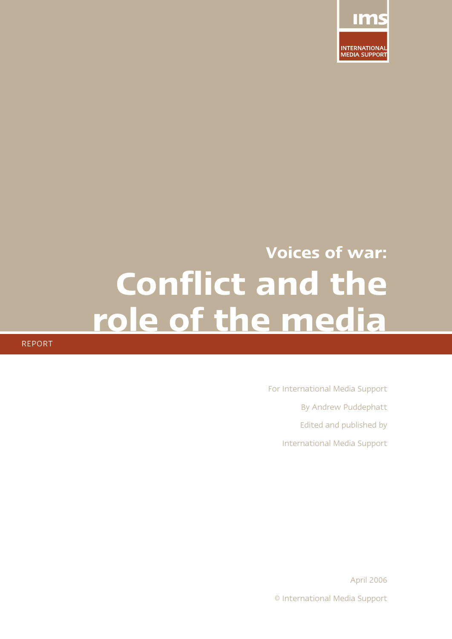

# **Voices of war: Conflict and the role of the media**

REPORT

For International Media Support By Andrew Puddephatt Edited and published by International Media Support

April 2006 © International Media Support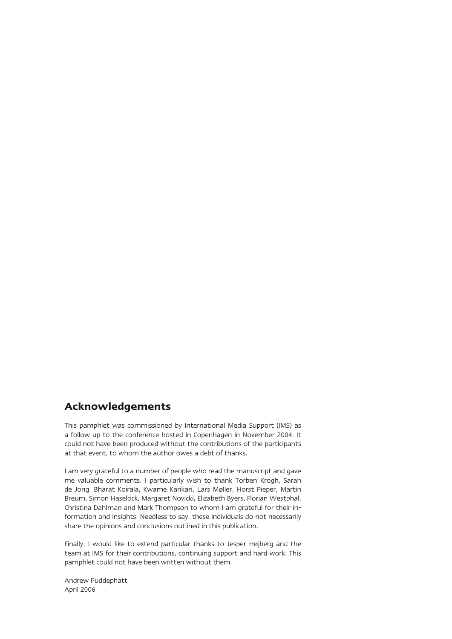### **Acknowledgements**

This pamphlet was commissioned by International Media Support (IMS) as a follow up to the conference hosted in Copenhagen in November 2004. It could not have been produced without the contributions of the participants at that event, to whom the author owes a debt of thanks.

I am very grateful to a number of people who read the manuscript and gave me valuable comments. I particularly wish to thank Torben Krogh, Sarah de Jong, Bharat Koirala, Kwame Karikari, Lars Møller, Horst Pieper, Martin Breum, Simon Haselock, Margaret Novicki, Elizabeth Byers, Florian Westphal, Christina Dahlman and Mark Thompson to whom I am grateful for their information and insights. Needless to say, these individuals do not necessarily share the opinions and conclusions outlined in this publication.

Finally, I would like to extend particular thanks to Jesper Højberg and the team at IMS for their contributions, continuing support and hard work. This pamphlet could not have been written without them.

Andrew Puddephatt April 2006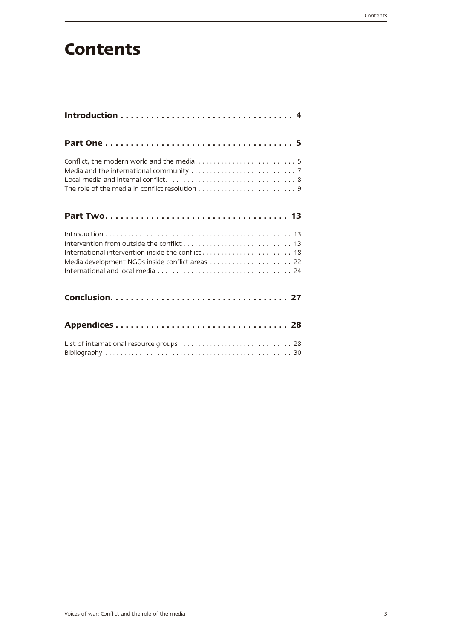# **Contents**

| Media development NGOs inside conflict areas  22 |
|--------------------------------------------------|
|                                                  |
|                                                  |
|                                                  |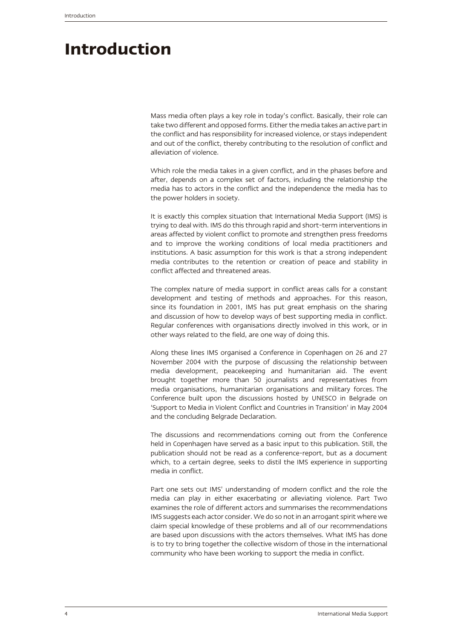# **Introduction**

Mass media often plays a key role in today's conflict. Basically, their role can take two different and opposed forms. Either the media takes an active part in the conflict and has responsibility for increased violence, or stays independent and out of the conflict, thereby contributing to the resolution of conflict and alleviation of violence.

Which role the media takes in a given conflict, and in the phases before and after, depends on a complex set of factors, including the relationship the media has to actors in the conflict and the independence the media has to the power holders in society.

It is exactly this complex situation that International Media Support (IMS) is trying to deal with. IMS do this through rapid and short-term interventions in areas affected by violent conflict to promote and strengthen press freedoms and to improve the working conditions of local media practitioners and institutions. A basic assumption for this work is that a strong independent media contributes to the retention or creation of peace and stability in conflict affected and threatened areas.

The complex nature of media support in conflict areas calls for a constant development and testing of methods and approaches. For this reason, since its foundation in 2001, IMS has put great emphasis on the sharing and discussion of how to develop ways of best supporting media in conflict. Regular conferences with organisations directly involved in this work, or in other ways related to the field, are one way of doing this.

Along these lines IMS organised a Conference in Copenhagen on 26 and 27 November 2004 with the purpose of discussing the relationship between media development, peacekeeping and humanitarian aid. The event brought together more than 50 journalists and representatives from media organisations, humanitarian organisations and military forces. The Conference built upon the discussions hosted by UNESCO in Belgrade on 'Support to Media in Violent Conflict and Countries in Transition' in May 2004 and the concluding Belgrade Declaration.

The discussions and recommendations coming out from the Conference held in Copenhagen have served as a basic input to this publication. Still, the publication should not be read as a conference-report, but as a document which, to a certain degree, seeks to distil the IMS experience in supporting media in conflict.

Part one sets out IMS' understanding of modern conflict and the role the media can play in either exacerbating or alleviating violence. Part Two examines the role of different actors and summarises the recommendations IMS suggests each actor consider. We do so not in an arrogant spirit where we claim special knowledge of these problems and all of our recommendations are based upon discussions with the actors themselves. What IMS has done is to try to bring together the collective wisdom of those in the international community who have been working to support the media in conflict.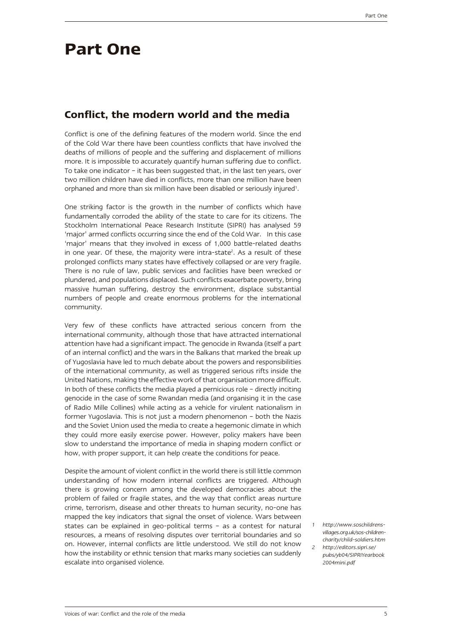# **Part One**

### **Conflict, the modern world and the media**

Conflict is one of the defining features of the modern world. Since the end of the Cold War there have been countless conflicts that have involved the deaths of millions of people and the suffering and displacement of millions more. It is impossible to accurately quantify human suffering due to conflict. To take one indicator – it has been suggested that, in the last ten years, over two million children have died in conflicts, more than one million have been orphaned and more than six million have been disabled or seriously injured<sup>1</sup>.

One striking factor is the growth in the number of conflicts which have fundamentally corroded the ability of the state to care for its citizens. The Stockholm International Peace Research Institute (SIPRI) has analysed 59 'major' armed conflicts occurring since the end of the Cold War. In this case 'major' means that they involved in excess of 1,000 battle-related deaths in one year. Of these, the majority were intra-state<sup>2</sup>. As a result of these prolonged conflicts many states have effectively collapsed or are very fragile. There is no rule of law, public services and facilities have been wrecked or plundered, and populations displaced. Such conflicts exacerbate poverty, bring massive human suffering, destroy the environment, displace substantial numbers of people and create enormous problems for the international community.

Very few of these conflicts have attracted serious concern from the international community, although those that have attracted international attention have had a significant impact. The genocide in Rwanda (itself a part of an internal conflict) and the wars in the Balkans that marked the break up of Yugoslavia have led to much debate about the powers and responsibilities of the international community, as well as triggered serious rifts inside the United Nations, making the effective work of that organisation more difficult. In both of these conflicts the media played a pernicious role – directly inciting genocide in the case of some Rwandan media (and organising it in the case of Radio Mille Collines) while acting as a vehicle for virulent nationalism in former Yugoslavia. This is not just a modern phenomenon – both the Nazis and the Soviet Union used the media to create a hegemonic climate in which they could more easily exercise power. However, policy makers have been slow to understand the importance of media in shaping modern conflict or how, with proper support, it can help create the conditions for peace.

Despite the amount of violent conflict in the world there is still little common understanding of how modern internal conflicts are triggered. Although there is growing concern among the developed democracies about the problem of failed or fragile states, and the way that conflict areas nurture crime, terrorism, disease and other threats to human security, no-one has mapped the key indicators that signal the onset of violence. Wars between states can be explained in geo-political terms – as a contest for natural resources, a means of resolving disputes over territorial boundaries and so on. However, internal conflicts are little understood. We still do not know how the instability or ethnic tension that marks many societies can suddenly escalate into organised violence.

*1 http://www.soschildrensvillages.org.uk/sos-childrencharity/child-soldiers.htm*

*2 http://editors.sipri.se/ pubs/yb04/SIPRIYearbook 2004mini.pdf*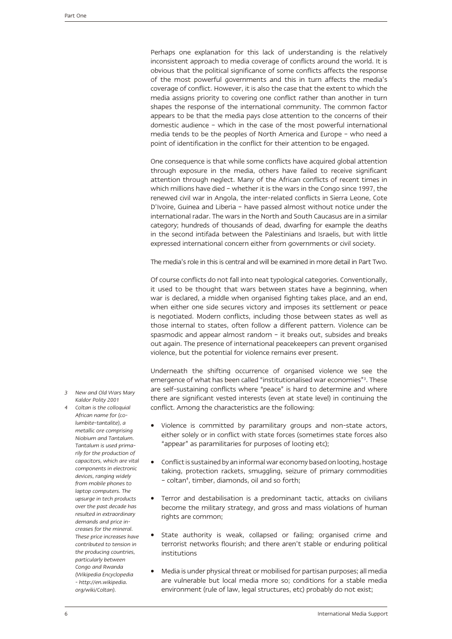Perhaps one explanation for this lack of understanding is the relatively inconsistent approach to media coverage of conflicts around the world. It is obvious that the political significance of some conflicts affects the response of the most powerful governments and this in turn affects the media's coverage of conflict. However, it is also the case that the extent to which the media assigns priority to covering one conflict rather than another in turn shapes the response of the international community. The common factor appears to be that the media pays close attention to the concerns of their domestic audience – which in the case of the most powerful international media tends to be the peoples of North America and Europe – who need a point of identification in the conflict for their attention to be engaged.

One consequence is that while some conflicts have acquired global attention through exposure in the media, others have failed to receive significant attention through neglect. Many of the African conflicts of recent times in which millions have died – whether it is the wars in the Congo since 1997, the renewed civil war in Angola, the inter-related conflicts in Sierra Leone, Cote D'Ivoire, Guinea and Liberia – have passed almost without notice under the international radar. The wars in the North and South Caucasus are in a similar category; hundreds of thousands of dead, dwarfing for example the deaths in the second intifada between the Palestinians and Israelis, but with little expressed international concern either from governments or civil society.

The media's role in this is central and will be examined in more detail in Part Two.

Of course conflicts do not fall into neat typological categories. Conventionally, it used to be thought that wars between states have a beginning, when war is declared, a middle when organised fighting takes place, and an end, when either one side secures victory and imposes its settlement or peace is negotiated. Modern conflicts, including those between states as well as those internal to states, often follow a different pattern. Violence can be spasmodic and appear almost random – it breaks out, subsides and breaks out again. The presence of international peacekeepers can prevent organised violence, but the potential for violence remains ever present.

Underneath the shifting occurrence of organised violence we see the emergence of what has been called "institutionalised war economies"<sup>3</sup>. These are self-sustaining conflicts where "peace" is hard to determine and where there are significant vested interests (even at state level) in continuing the conflict. Among the characteristics are the following:

- Violence is committed by paramilitary groups and non-state actors, either solely or in conflict with state forces (sometimes state forces also "appear" as paramilitaries for purposes of looting etc);
- Conflict is sustained by an informal war economy based on looting, hostage taking, protection rackets, smuggling, seizure of primary commodities - coltan<sup>4</sup>, timber, diamonds, oil and so forth;
- Terror and destabilisation is a predominant tactic, attacks on civilians become the military strategy, and gross and mass violations of human rights are common;
- State authority is weak, collapsed or failing; organised crime and terrorist networks flourish; and there aren't stable or enduring political institutions
- Media is under physical threat or mobilised for partisan purposes; all media are vulnerable but local media more so; conditions for a stable media environment (rule of law, legal structures, etc) probably do not exist;
- *3 New and Old Wars Mary Kaldor Polity 2001*
- *4 Coltan is the colloquial African name for (columbite-tantalite), a metallic ore comprising Niobium and Tantalum. Tantalum is used primarily for the production of capacitors, which are vital components in electronic devices, ranging widely from mobile phones to laptop computers. The upsurge in tech products over the past decade has resulted in extraordinary demands and price increases for the mineral. These price increases have contributed to tension in the producing countries, particularly between Congo and Rwanda (Wikipedia Encyclopedia - http://en.wikipedia. org/wiki/Coltan).*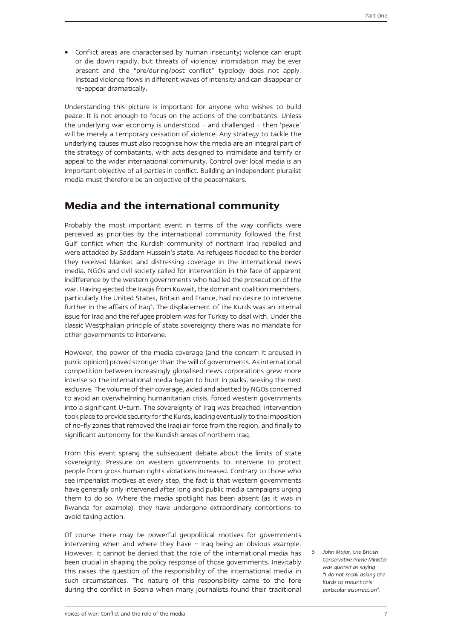Conflict areas are characterised by human insecurity; violence can erupt or die down rapidly, but threats of violence/ intimidation may be ever present and the "pre/during/post conflict" typology does not apply. Instead violence flows in different waves of intensity and can disappear or re-appear dramatically.

Understanding this picture is important for anyone who wishes to build peace. It is not enough to focus on the actions of the combatants. Unless the underlying war economy is understood – and challenged – then 'peace' will be merely a temporary cessation of violence. Any strategy to tackle the underlying causes must also recognise how the media are an integral part of the strategy of combatants, with acts designed to intimidate and terrify or appeal to the wider international community. Control over local media is an important objective of all parties in conflict. Building an independent pluralist media must therefore be an objective of the peacemakers.

### **Media and the international community**

Probably the most important event in terms of the way conflicts were perceived as priorities by the international community followed the first Gulf conflict when the Kurdish community of northern Iraq rebelled and were attacked by Saddam Hussein's state. As refugees flooded to the border they received blanket and distressing coverage in the international news media. NGOs and civil society called for intervention in the face of apparent indifference by the western governments who had led the prosecution of the war. Having ejected the Iraqis from Kuwait, the dominant coalition members, particularly the United States, Britain and France, had no desire to intervene further in the affairs of Iraq<sup>5</sup>. The displacement of the Kurds was an internal issue for Iraq and the refugee problem was for Turkey to deal with. Under the classic Westphalian principle of state sovereignty there was no mandate for other governments to intervene.

However, the power of the media coverage (and the concern it aroused in public opinion) proved stronger than the will of governments. As international competition between increasingly globalised news corporations grew more intense so the international media began to hunt in packs, seeking the next exclusive. The volume of their coverage, aided and abetted by NGOs concerned to avoid an overwhelming humanitarian crisis, forced western governments into a significant U-turn. The sovereignty of Iraq was breached, intervention took place to provide security for the Kurds, leading eventually to the imposition of no-fly zones that removed the Iraqi air force from the region, and finally to significant autonomy for the Kurdish areas of northern Iraq.

From this event sprang the subsequent debate about the limits of state sovereignty. Pressure on western governments to intervene to protect people from gross human rights violations increased. Contrary to those who see imperialist motives at every step, the fact is that western governments have generally only intervened after long and public media campaigns urging them to do so. Where the media spotlight has been absent (as it was in Rwanda for example), they have undergone extraordinary contortions to avoid taking action.

Of course there may be powerful geopolitical motives for governments intervening when and where they have – Iraq being an obvious example. However, it cannot be denied that the role of the international media has been crucial in shaping the policy response of those governments. Inevitably this raises the question of the responsibility of the international media in such circumstances. The nature of this responsibility came to the fore during the conflict in Bosnia when many journalists found their traditional

*5 John Major, the British Conservative Prime Minister was quoted as saying "I do not recall asking the Kurds to mount this particular insurrection".*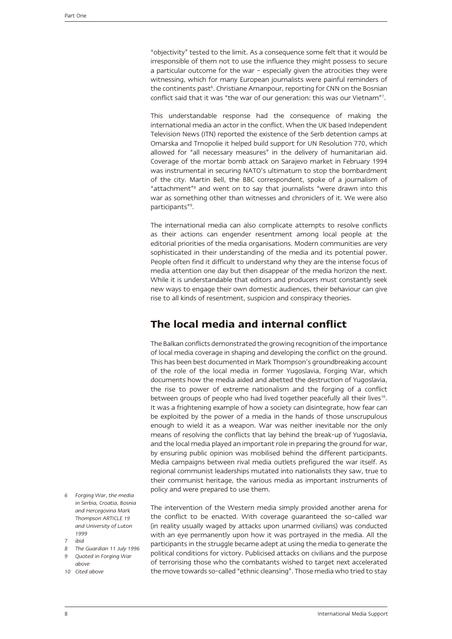"objectivity" tested to the limit. As a consequence some felt that it would be irresponsible of them not to use the influence they might possess to secure a particular outcome for the war – especially given the atrocities they were witnessing, which for many European journalists were painful reminders of the continents past<sup>6</sup>. Christiane Amanpour, reporting for CNN on the Bosnian conflict said that it was "the war of our generation: this was our Vietnam"7 .

This understandable response had the consequence of making the international media an actor in the conflict. When the UK based Independent Television News (ITN) reported the existence of the Serb detention camps at Omarska and Trnopolie it helped build support for UN Resolution 770, which allowed for "all necessary measures" in the delivery of humanitarian aid. Coverage of the mortar bomb attack on Sarajevo market in February 1994 was instrumental in securing NATO's ultimatum to stop the bombardment of the city. Martin Bell, the BBC correspondent, spoke of a journalism of "attachment"<sup>8</sup> and went on to say that journalists "were drawn into this war as something other than witnesses and chroniclers of it. We were also participants"9 .

The international media can also complicate attempts to resolve conflicts as their actions can engender resentment among local people at the editorial priorities of the media organisations. Modern communities are very sophisticated in their understanding of the media and its potential power. People often find it difficult to understand why they are the intense focus of media attention one day but then disappear of the media horizon the next. While it is understandable that editors and producers must constantly seek new ways to engage their own domestic audiences, their behaviour can give rise to all kinds of resentment, suspicion and conspiracy theories.

# **The local media and internal conflict**

The Balkan conflicts demonstrated the growing recognition of the importance of local media coverage in shaping and developing the conflict on the ground. This has been best documented in Mark Thompson's groundbreaking account of the role of the local media in former Yugoslavia, Forging War, which documents how the media aided and abetted the destruction of Yugoslavia, the rise to power of extreme nationalism and the forging of a conflict between groups of people who had lived together peacefully all their lives<sup>10</sup>. It was a frightening example of how a society can disintegrate, how fear can be exploited by the power of a media in the hands of those unscrupulous enough to wield it as a weapon. War was neither inevitable nor the only means of resolving the conflicts that lay behind the break-up of Yugoslavia, and the local media played an important role in preparing the ground for war, by ensuring public opinion was mobilised behind the different participants. Media campaigns between rival media outlets prefigured the war itself. As regional communist leaderships mutated into nationalists they saw, true to their communist heritage, the various media as important instruments of policy and were prepared to use them.

- *6 Forging War, the media in Serbia, Croatia, Bosnia and Hercegovina Mark Thompson ARTICLE 19 and University of Luton 1999*
- *7 ibid*
- *8 The Guardian 11 July 1996*
- *9 Quoted in Forging War*
- *above*
- *10 Cited above*

The intervention of the Western media simply provided another arena for the conflict to be enacted. With coverage guaranteed the so-called war (in reality usually waged by attacks upon unarmed civilians) was conducted with an eye permanently upon how it was portrayed in the media. All the participants in the struggle became adept at using the media to generate the political conditions for victory. Publicised attacks on civilians and the purpose of terrorising those who the combatants wished to target next accelerated the move towards so-called "ethnic cleansing". Those media who tried to stay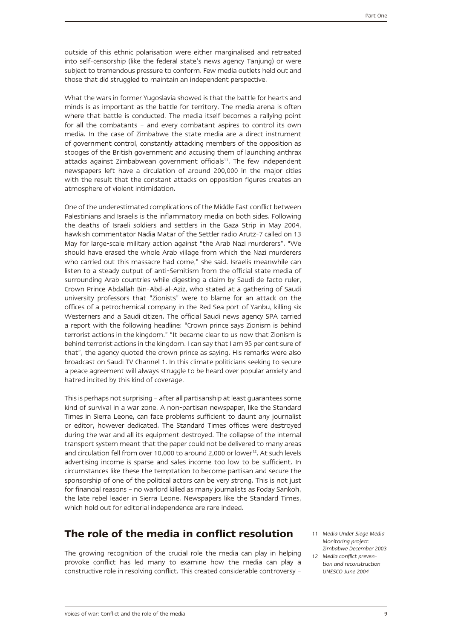outside of this ethnic polarisation were either marginalised and retreated into self-censorship (like the federal state's news agency Tanjung) or were subject to tremendous pressure to conform. Few media outlets held out and those that did struggled to maintain an independent perspective.

What the wars in former Yugoslavia showed is that the battle for hearts and minds is as important as the battle for territory. The media arena is often where that battle is conducted. The media itself becomes a rallying point for all the combatants – and every combatant aspires to control its own media. In the case of Zimbabwe the state media are a direct instrument of government control, constantly attacking members of the opposition as stooges of the British government and accusing them of launching anthrax attacks against Zimbabwean government officials<sup>11</sup>. The few independent newspapers left have a circulation of around 200,000 in the major cities with the result that the constant attacks on opposition figures creates an atmosphere of violent intimidation.

One of the underestimated complications of the Middle East conflict between Palestinians and Israelis is the inflammatory media on both sides. Following the deaths of Israeli soldiers and settlers in the Gaza Strip in May 2004, hawkish commentator Nadia Matar of the Settler radio Arutz-7 called on 13 May for large-scale military action against "the Arab Nazi murderers". "We should have erased the whole Arab village from which the Nazi murderers who carried out this massacre had come," she said. Israelis meanwhile can listen to a steady output of anti-Semitism from the official state media of surrounding Arab countries while digesting a claim by Saudi de facto ruler, Crown Prince Abdallah Bin-Abd-al-Aziz, who stated at a gathering of Saudi university professors that "Zionists" were to blame for an attack on the offices of a petrochemical company in the Red Sea port of Yanbu, killing six Westerners and a Saudi citizen. The official Saudi news agency SPA carried a report with the following headline: "Crown prince says Zionism is behind terrorist actions in the kingdom." "It became clear to us now that Zionism is behind terrorist actions in the kingdom. I can say that I am 95 per cent sure of that", the agency quoted the crown prince as saying. His remarks were also broadcast on Saudi TV Channel 1. In this climate politicians seeking to secure a peace agreement will always struggle to be heard over popular anxiety and hatred incited by this kind of coverage.

This is perhaps not surprising – after all partisanship at least guarantees some kind of survival in a war zone. A non-partisan newspaper, like the Standard Times in Sierra Leone, can face problems sufficient to daunt any journalist or editor, however dedicated. The Standard Times offices were destroyed during the war and all its equipment destroyed. The collapse of the internal transport system meant that the paper could not be delivered to many areas and circulation fell from over 10,000 to around 2,000 or lower<sup>12</sup>. At such levels advertising income is sparse and sales income too low to be sufficient. In circumstances like these the temptation to become partisan and secure the sponsorship of one of the political actors can be very strong. This is not just for financial reasons – no warlord killed as many journalists as Foday Sankoh, the late rebel leader in Sierra Leone. Newspapers like the Standard Times, which hold out for editorial independence are rare indeed.

### **The role of the media in conflict resolution**

The growing recognition of the crucial role the media can play in helping provoke conflict has led many to examine how the media can play a constructive role in resolving conflict. This created considerable controversy –

- *11 Media Under Siege Media Monitoring project Zimbabwe December 2003*
- *12 Media conflict prevention and reconstruction UNESCO June 2004*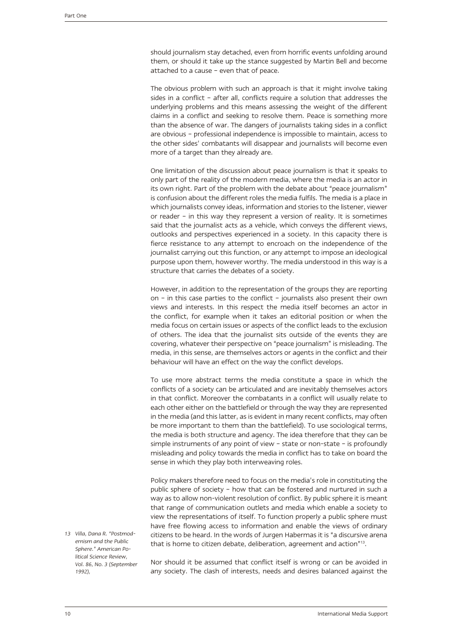should journalism stay detached, even from horrific events unfolding around them, or should it take up the stance suggested by Martin Bell and become attached to a cause – even that of peace.

The obvious problem with such an approach is that it might involve taking sides in a conflict – after all, conflicts require a solution that addresses the underlying problems and this means assessing the weight of the different claims in a conflict and seeking to resolve them. Peace is something more than the absence of war. The dangers of journalists taking sides in a conflict are obvious – professional independence is impossible to maintain, access to the other sides' combatants will disappear and journalists will become even more of a target than they already are.

One limitation of the discussion about peace journalism is that it speaks to only part of the reality of the modern media, where the media is an actor in its own right. Part of the problem with the debate about "peace journalism" is confusion about the different roles the media fulfils. The media is a place in which journalists convey ideas, information and stories to the listener, viewer or reader – in this way they represent a version of reality. It is sometimes said that the journalist acts as a vehicle, which conveys the different views, outlooks and perspectives experienced in a society. In this capacity there is fierce resistance to any attempt to encroach on the independence of the journalist carrying out this function, or any attempt to impose an ideological purpose upon them, however worthy. The media understood in this way is a structure that carries the debates of a society.

However, in addition to the representation of the groups they are reporting on – in this case parties to the conflict – journalists also present their own views and interests. In this respect the media itself becomes an actor in the conflict, for example when it takes an editorial position or when the media focus on certain issues or aspects of the conflict leads to the exclusion of others. The idea that the journalist sits outside of the events they are covering, whatever their perspective on "peace journalism" is misleading. The media, in this sense, are themselves actors or agents in the conflict and their behaviour will have an effect on the way the conflict develops.

To use more abstract terms the media constitute a space in which the conflicts of a society can be articulated and are inevitably themselves actors in that conflict. Moreover the combatants in a conflict will usually relate to each other either on the battlefield or through the way they are represented in the media (and this latter, as is evident in many recent conflicts, may often be more important to them than the battlefield). To use sociological terms, the media is both structure and agency. The idea therefore that they can be simple instruments of any point of view – state or non-state – is profoundly misleading and policy towards the media in conflict has to take on board the sense in which they play both interweaving roles.

Policy makers therefore need to focus on the media's role in constituting the public sphere of society – how that can be fostered and nurtured in such a way as to allow non-violent resolution of conflict. By public sphere it is meant that range of communication outlets and media which enable a society to view the representations of itself. To function properly a public sphere must have free flowing access to information and enable the views of ordinary citizens to be heard. In the words of Jurgen Habermas it is "a discursive arena that is home to citizen debate, deliberation, agreement and action"<sup>13</sup>.

*13 Villa, Dana R. "Postmodernism and the Public Sphere." American Political Science Review, Vol. 86, No. 3 (September 1992),*

Nor should it be assumed that conflict itself is wrong or can be avoided in any society. The clash of interests, needs and desires balanced against the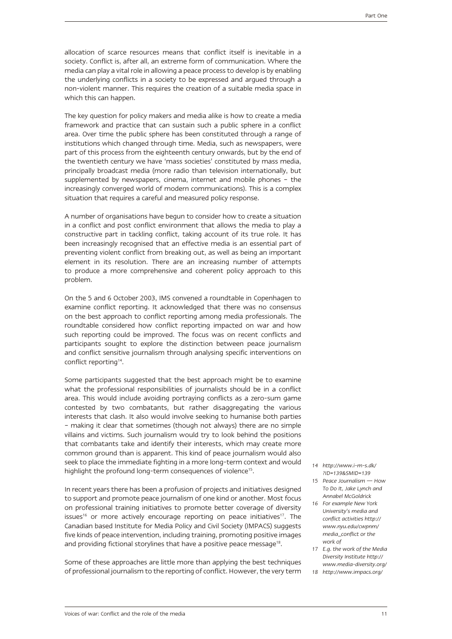allocation of scarce resources means that conflict itself is inevitable in a society. Conflict is, after all, an extreme form of communication. Where the media can play a vital role in allowing a peace process to develop is by enabling the underlying conflicts in a society to be expressed and argued through a non-violent manner. This requires the creation of a suitable media space in which this can happen.

The key question for policy makers and media alike is how to create a media framework and practice that can sustain such a public sphere in a conflict area. Over time the public sphere has been constituted through a range of institutions which changed through time. Media, such as newspapers, were part of this process from the eighteenth century onwards, but by the end of the twentieth century we have 'mass societies' constituted by mass media, principally broadcast media (more radio than television internationally, but supplemented by newspapers, cinema, internet and mobile phones – the increasingly converged world of modern communications). This is a complex situation that requires a careful and measured policy response.

A number of organisations have begun to consider how to create a situation in a conflict and post conflict environment that allows the media to play a constructive part in tackling conflict, taking account of its true role. It has been increasingly recognised that an effective media is an essential part of preventing violent conflict from breaking out, as well as being an important element in its resolution. There are an increasing number of attempts to produce a more comprehensive and coherent policy approach to this problem.

On the 5 and 6 October 2003, IMS convened a roundtable in Copenhagen to examine conflict reporting. It acknowledged that there was no consensus on the best approach to conflict reporting among media professionals. The roundtable considered how conflict reporting impacted on war and how such reporting could be improved. The focus was on recent conflicts and participants sought to explore the distinction between peace journalism and conflict sensitive journalism through analysing specific interventions on conflict reporting<sup>14</sup>.

Some participants suggested that the best approach might be to examine what the professional responsibilities of journalists should be in a conflict area. This would include avoiding portraying conflicts as a zero-sum game contested by two combatants, but rather disaggregating the various interests that clash. It also would involve seeking to humanise both parties – making it clear that sometimes (though not always) there are no simple villains and victims. Such journalism would try to look behind the positions that combatants take and identify their interests, which may create more common ground than is apparent. This kind of peace journalism would also seek to place the immediate fighting in a more long-term context and would highlight the profound long-term consequences of violence<sup>15</sup>.

In recent years there has been a profusion of projects and initiatives designed to support and promote peace journalism of one kind or another. Most focus on professional training initiatives to promote better coverage of diversity issues<sup>16</sup> or more actively encourage reporting on peace initiatives<sup>17</sup>. The Canadian based Institute for Media Policy and Civil Society (IMPACS) suggests five kinds of peace intervention, including training, promoting positive images and providing fictional storylines that have a positive peace message<sup>18</sup>.

Some of these approaches are little more than applying the best techniques of professional journalism to the reporting of conflict. However, the very term

- *14 http://www.i-m-s.dk/ ?ID=139&SMID=139*
- *15 Peace Journalism How To Do It, Jake Lynch and Annabel McGoldrick*
- *16 For example New York University's media and conflict activities http:// www.nyu.edu/cwpnm/ media\_conflict or the work of*
- *17 E.g. the work of the Media Diversity Institute http:// www.media-diversity.org/*
- *18 http://www.impacs.org/*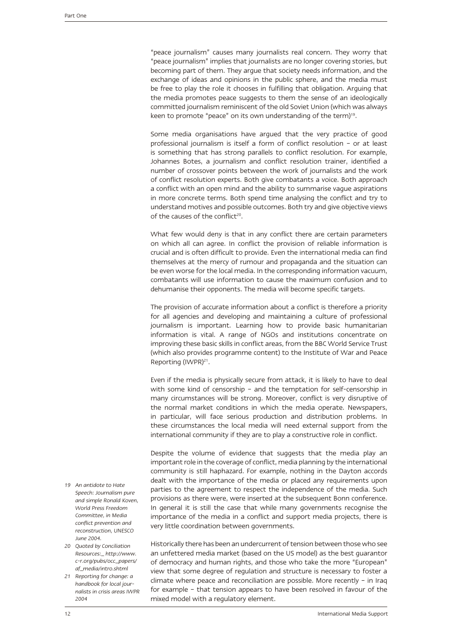"peace journalism" causes many journalists real concern. They worry that "peace journalism" implies that journalists are no longer covering stories, but becoming part of them. They argue that society needs information, and the exchange of ideas and opinions in the public sphere, and the media must be free to play the role it chooses in fulfilling that obligation. Arguing that the media promotes peace suggests to them the sense of an ideologically committed journalism reminiscent of the old Soviet Union (which was always keen to promote "peace" on its own understanding of the term)<sup>19</sup>.

Some media organisations have argued that the very practice of good professional journalism is itself a form of conflict resolution – or at least is something that has strong parallels to conflict resolution. For example, Johannes Botes, a journalism and conflict resolution trainer, identified a number of crossover points between the work of journalists and the work of conflict resolution experts. Both give combatants a voice. Both approach a conflict with an open mind and the ability to summarise vague aspirations in more concrete terms. Both spend time analysing the conflict and try to understand motives and possible outcomes. Both try and give objective views of the causes of the conflict<sup>20</sup>.

What few would deny is that in any conflict there are certain parameters on which all can agree. In conflict the provision of reliable information is crucial and is often difficult to provide. Even the international media can find themselves at the mercy of rumour and propaganda and the situation can be even worse for the local media. In the corresponding information vacuum, combatants will use information to cause the maximum confusion and to dehumanise their opponents. The media will become specific targets.

The provision of accurate information about a conflict is therefore a priority for all agencies and developing and maintaining a culture of professional journalism is important. Learning how to provide basic humanitarian information is vital. A range of NGOs and institutions concentrate on improving these basic skills in conflict areas, from the BBC World Service Trust (which also provides programme content) to the Institute of War and Peace Reporting (IWPR)<sup>21</sup>.

Even if the media is physically secure from attack, it is likely to have to deal with some kind of censorship – and the temptation for self-censorship in many circumstances will be strong. Moreover, conflict is very disruptive of the normal market conditions in which the media operate. Newspapers, in particular, will face serious production and distribution problems. In these circumstances the local media will need external support from the international community if they are to play a constructive role in conflict.

Despite the volume of evidence that suggests that the media play an important role in the coverage of conflict, media planning by the international community is still haphazard. For example, nothing in the Dayton accords dealt with the importance of the media or placed any requirements upon parties to the agreement to respect the independence of the media. Such provisions as there were, were inserted at the subsequent Bonn conference. In general it is still the case that while many governments recognise the importance of the media in a conflict and support media projects, there is very little coordination between governments.

Historically there has been an undercurrent of tension between those who see an unfettered media market (based on the US model) as the best guarantor of democracy and human rights, and those who take the more "European" view that some degree of regulation and structure is necessary to foster a climate where peace and reconciliation are possible. More recently – in Iraq for example – that tension appears to have been resolved in favour of the mixed model with a regulatory element.

- *19 An antidote to Hate Speech: Journalism pure and simple Ronald Koven, World Press Freedom Committee, in Media conflict prevention and reconstruction, UNESCO June 2004.*
- *20 Quoted by Conciliation Resources:\_ http://www. c-r.org/pubs/occ\_papers/ af\_media/intro.shtml*
- *21 Reporting for change: a handbook for local journalists in crisis areas IWPR 2004*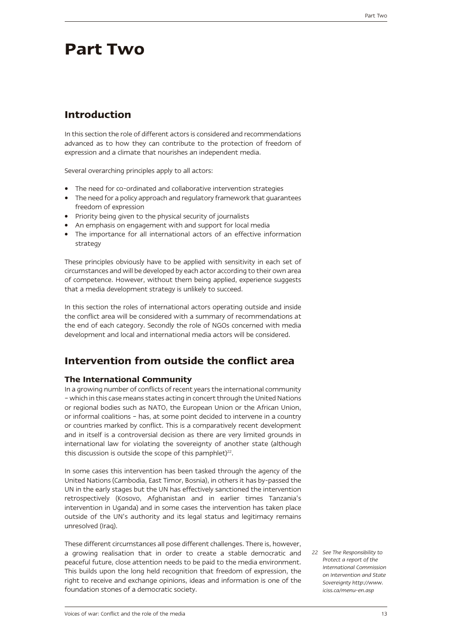# **Part Two**

# **Introduction**

In this section the role of different actors is considered and recommendations advanced as to how they can contribute to the protection of freedom of expression and a climate that nourishes an independent media.

Several overarching principles apply to all actors:

- The need for co-ordinated and collaborative intervention strategies
- The need for a policy approach and regulatory framework that guarantees freedom of expression
- • Priority being given to the physical security of journalists
- An emphasis on engagement with and support for local media
- The importance for all international actors of an effective information strategy

These principles obviously have to be applied with sensitivity in each set of circumstances and will be developed by each actor according to their own area of competence. However, without them being applied, experience suggests that a media development strategy is unlikely to succeed.

In this section the roles of international actors operating outside and inside the conflict area will be considered with a summary of recommendations at the end of each category. Secondly the role of NGOs concerned with media development and local and international media actors will be considered.

### **Intervention from outside the conflict area**

### **The International Community**

In a growing number of conflicts of recent years the international community – which in this case means states acting in concert through the United Nations or regional bodies such as NATO, the European Union or the African Union, or informal coalitions – has, at some point decided to intervene in a country or countries marked by conflict. This is a comparatively recent development and in itself is a controversial decision as there are very limited grounds in international law for violating the sovereignty of another state (although this discussion is outside the scope of this pamphlet) $22$ .

In some cases this intervention has been tasked through the agency of the United Nations (Cambodia, East Timor, Bosnia), in others it has by-passed the UN in the early stages but the UN has effectively sanctioned the intervention retrospectively (Kosovo, Afghanistan and in earlier times Tanzania's intervention in Uganda) and in some cases the intervention has taken place outside of the UN's authority and its legal status and legitimacy remains unresolved (Iraq).

These different circumstances all pose different challenges. There is, however, a growing realisation that in order to create a stable democratic and peaceful future, close attention needs to be paid to the media environment. This builds upon the long held recognition that freedom of expression, the right to receive and exchange opinions, ideas and information is one of the foundation stones of a democratic society.

*22 See The Responsibility to Protect a report of the International Commission on Intervention and State Sovereignty http://www. iciss.ca/menu-en.asp*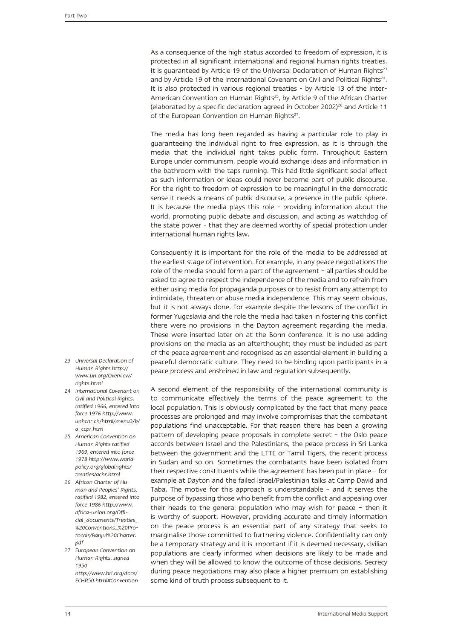As a consequence of the high status accorded to freedom of expression, it is protected in all significant international and regional human rights treaties. It is guaranteed by Article 19 of the Universal Declaration of Human Rights $^{23}$ and by Article 19 of the International Covenant on Civil and Political Rights<sup>24</sup>. It is also protected in various regional treaties - by Article 13 of the Inter-American Convention on Human Rights<sup>25</sup>, by Article 9 of the African Charter (elaborated by a specific declaration agreed in October 2002) $^{26}$  and Article 11 of the European Convention on Human Rights<sup>27</sup>.

The media has long been regarded as having a particular role to play in guaranteeing the individual right to free expression, as it is through the media that the individual right takes public form. Throughout Eastern Europe under communism, people would exchange ideas and information in the bathroom with the taps running. This had little significant social effect as such information or ideas could never become part of public discourse. For the right to freedom of expression to be meaningful in the democratic sense it needs a means of public discourse, a presence in the public sphere. It is because the media plays this role - providing information about the world, promoting public debate and discussion, and acting as watchdog of the state power - that they are deemed worthy of special protection under international human rights law.

Consequently it is important for the role of the media to be addressed at the earliest stage of intervention. For example, in any peace negotiations the role of the media should form a part of the agreement – all parties should be asked to agree to respect the independence of the media and to refrain from either using media for propaganda purposes or to resist from any attempt to intimidate, threaten or abuse media independence. This may seem obvious, but it is not always done. For example despite the lessons of the conflict in former Yugoslavia and the role the media had taken in fostering this conflict there were no provisions in the Dayton agreement regarding the media. These were inserted later on at the Bonn conference. It is no use adding provisions on the media as an afterthought; they must be included as part of the peace agreement and recognised as an essential element in building a peaceful democratic culture. They need to be binding upon participants in a peace process and enshrined in law and regulation subsequently.

- A second element of the responsibility of the international community is to communicate effectively the terms of the peace agreement to the local population. This is obviously complicated by the fact that many peace processes are prolonged and may involve compromises that the combatant populations find unacceptable. For that reason there has been a growing pattern of developing peace proposals in complete secret – the Oslo peace accords between Israel and the Palestinians, the peace process in Sri Lanka between the government and the LTTE or Tamil Tigers, the recent process in Sudan and so on. Sometimes the combatants have been isolated from their respective constituents while the agreement has been put in place – for example at Dayton and the failed Israel/Palestinian talks at Camp David and Taba. The motive for this approach is understandable – and it serves the purpose of bypassing those who benefit from the conflict and appealing over their heads to the general population who may wish for peace – then it is worthy of support. However, providing accurate and timely information on the peace process is an essential part of any strategy that seeks to marginalise those committed to furthering violence. Confidentiality can only be a temporary strategy and it is important if it is deemed necessary, civilian populations are clearly informed when decisions are likely to be made and when they will be allowed to know the outcome of those decisions. Secrecy during peace negotiations may also place a higher premium on establishing some kind of truth process subsequent to it.
- *23 Universal Declaration of Human Rights http:// www.un.org/Overview/ rights.html*
- *24 International Covenant on Civil and Political Rights, ratified 1966, entered into force 1976 http://www. unhchr.ch/html/menu3/b/ a\_ccpr.htm*
- *25 American Convention on Human Rights ratified 1969, entered into force 1978 http://www.worldpolicy.org/globalrights/ treaties/achr.html*
- *26 African Charter of Human and Peoples' Rights, ratified 1982, entered into force 1986 http://www. africa-union.org/Official\_documents/Treaties\_ %20Conventions\_%20Protocols/Banjul%20Charter. pdf*
- *27 European Convention on Human Rights, signed 1950 http://www.hri.org/docs/ ECHR50.html#Convention*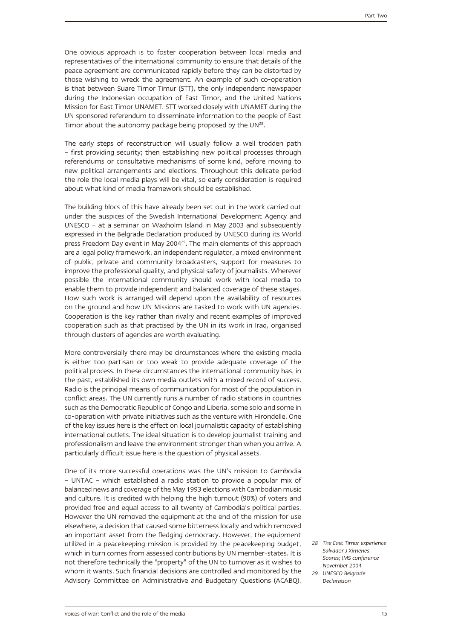One obvious approach is to foster cooperation between local media and representatives of the international community to ensure that details of the peace agreement are communicated rapidly before they can be distorted by those wishing to wreck the agreement. An example of such co-operation is that between Suare Timor Timur (STT), the only independent newspaper during the Indonesian occupation of East Timor, and the United Nations Mission for East Timor UNAMET. STT worked closely with UNAMET during the UN sponsored referendum to disseminate information to the people of East Timor about the autonomy package being proposed by the UN<sup>28</sup>.

The early steps of reconstruction will usually follow a well trodden path – first providing security; then establishing new political processes through referendums or consultative mechanisms of some kind, before moving to new political arrangements and elections. Throughout this delicate period the role the local media plays will be vital, so early consideration is required about what kind of media framework should be established.

The building blocs of this have already been set out in the work carried out under the auspices of the Swedish International Development Agency and UNESCO – at a seminar on Waxholm Island in May 2003 and subsequently expressed in the Belgrade Declaration produced by UNESCO during its World press Freedom Day event in May 2004<sup>29</sup>. The main elements of this approach are a legal policy framework, an independent regulator, a mixed environment of public, private and community broadcasters, support for measures to improve the professional quality, and physical safety of journalists. Wherever possible the international community should work with local media to enable them to provide independent and balanced coverage of these stages. How such work is arranged will depend upon the availability of resources on the ground and how UN Missions are tasked to work with UN agencies. Cooperation is the key rather than rivalry and recent examples of improved cooperation such as that practised by the UN in its work in Iraq, organised through clusters of agencies are worth evaluating.

More controversially there may be circumstances where the existing media is either too partisan or too weak to provide adequate coverage of the political process. In these circumstances the international community has, in the past, established its own media outlets with a mixed record of success. Radio is the principal means of communication for most of the population in conflict areas. The UN currently runs a number of radio stations in countries such as the Democratic Republic of Congo and Liberia, some solo and some in co-operation with private initiatives such as the venture with Hirondelle. One of the key issues here is the effect on local journalistic capacity of establishing international outlets. The ideal situation is to develop journalist training and professionalism and leave the environment stronger than when you arrive. A particularly difficult issue here is the question of physical assets.

One of its more successful operations was the UN's mission to Cambodia – UNTAC – which established a radio station to provide a popular mix of balanced news and coverage of the May 1993 elections with Cambodian music and culture. It is credited with helping the high turnout (90%) of voters and provided free and equal access to all twenty of Cambodia's political parties. However the UN removed the equipment at the end of the mission for use elsewhere, a decision that caused some bitterness locally and which removed an important asset from the fledging democracy. However, the equipment utilized in a peacekeeping mission is provided by the peacekeeping budget, which in turn comes from assessed contributions by UN member-states. It is not therefore technically the "property" of the UN to turnover as it wishes to whom it wants. Such financial decisions are controlled and monitored by the Advisory Committee on Administrative and Budgetary Questions (ACABQ),

*28 The East Timor experience Salvador J Ximenes Soares; IMS conference November 2004 29 UNESCO Belgrade Declaration*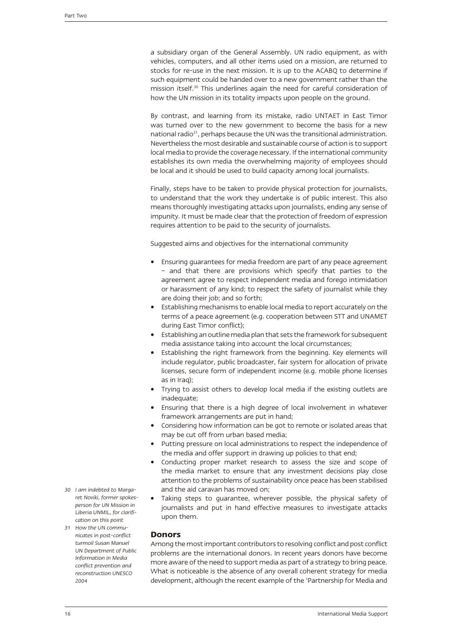a subsidiary organ of the General Assembly. UN radio equipment, as with vehicles, computers, and all other items used on a mission, are returned to stocks for re-use in the next mission. It is up to the ACABQ to determine if such equipment could be handed over to a new government rather than the mission itself.30 This underlines again the need for careful consideration of how the UN mission in its totality impacts upon people on the ground.

By contrast, and learning from its mistake, radio UNTAET in East Timor was turned over to the new government to become the basis for a new national radio<sup>31</sup>, perhaps because the UN was the transitional administration. Nevertheless the most desirable and sustainable course of action is to support local media to provide the coverage necessary. If the international community establishes its own media the overwhelming majority of employees should be local and it should be used to build capacity among local journalists.

Finally, steps have to be taken to provide physical protection for journalists, to understand that the work they undertake is of public interest. This also means thoroughly investigating attacks upon journalists, ending any sense of impunity. It must be made clear that the protection of freedom of expression requires attention to be paid to the security of journalists.

Suggested aims and objectives for the international community

- Ensuring guarantees for media freedom are part of any peace agreement – and that there are provisions which specify that parties to the agreement agree to respect independent media and forego intimidation or harassment of any kind; to respect the safety of journalist while they are doing their job; and so forth;
- Establishing mechanisms to enable local media to report accurately on the terms of a peace agreement (e.g. cooperation between STT and UNAMET during East Timor conflict);
- Establishing an outline media plan that sets the framework for subsequent media assistance taking into account the local circumstances;
- Establishing the right framework from the beginning. Key elements will include regulator, public broadcaster, fair system for allocation of private licenses, secure form of independent income (e.g. mobile phone licenses as in Iraq);
- Trying to assist others to develop local media if the existing outlets are inadequate;
- Ensuring that there is a high degree of local involvement in whatever framework arrangements are put in hand;
- Considering how information can be got to remote or isolated areas that may be cut off from urban based media;
- Putting pressure on local administrations to respect the independence of the media and offer support in drawing up policies to that end;
- Conducting proper market research to assess the size and scope of the media market to ensure that any investment decisions play close attention to the problems of sustainability once peace has been stabilised and the aid caravan has moved on;
- Taking steps to guarantee, wherever possible, the physical safety of journalists and put in hand effective measures to investigate attacks upon them.
- **Donors**

Among the most important contributors to resolving conflict and post conflict problems are the international donors. In recent years donors have become more aware of the need to support media as part of a strategy to bring peace. What is noticeable is the absence of any overall coherent strategy for media development, although the recent example of the 'Partnership for Media and

- *30 I am indebted to Margaret Noviki, former spokesperson for UN Mission in Liberia UNMIL, for clarification on this point*
- *31 How the UN communicates in post-conflict turmoil Susan Manuel UN Department of Public Information in Media conflict prevention and reconstruction UNESCO 2004*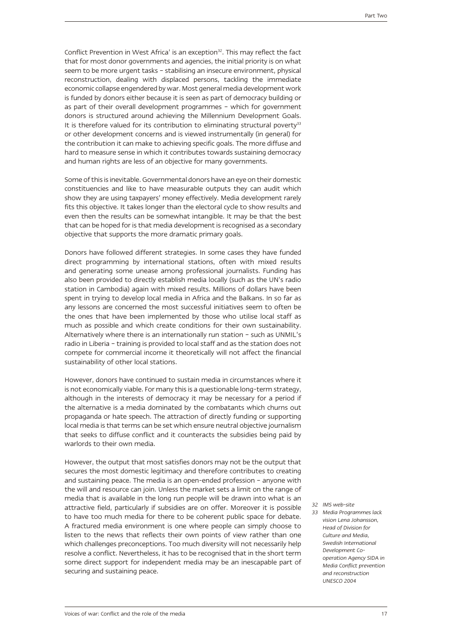Conflict Prevention in West Africa' is an exception<sup>32</sup>. This may reflect the fact that for most donor governments and agencies, the initial priority is on what seem to be more urgent tasks – stabilising an insecure environment, physical reconstruction, dealing with displaced persons, tackling the immediate economic collapse engendered by war. Most general media development work is funded by donors either because it is seen as part of democracy building or as part of their overall development programmes – which for government donors is structured around achieving the Millennium Development Goals. It is therefore valued for its contribution to eliminating structural poverty $33$ or other development concerns and is viewed instrumentally (in general) for the contribution it can make to achieving specific goals. The more diffuse and hard to measure sense in which it contributes towards sustaining democracy and human rights are less of an objective for many governments.

Some of this is inevitable. Governmental donors have an eye on their domestic constituencies and like to have measurable outputs they can audit which show they are using taxpayers' money effectively. Media development rarely fits this objective. It takes longer than the electoral cycle to show results and even then the results can be somewhat intangible. It may be that the best that can be hoped for is that media development is recognised as a secondary objective that supports the more dramatic primary goals.

Donors have followed different strategies. In some cases they have funded direct programming by international stations, often with mixed results and generating some unease among professional journalists. Funding has also been provided to directly establish media locally (such as the UN's radio station in Cambodia) again with mixed results. Millions of dollars have been spent in trying to develop local media in Africa and the Balkans. In so far as any lessons are concerned the most successful initiatives seem to often be the ones that have been implemented by those who utilise local staff as much as possible and which create conditions for their own sustainability. Alternatively where there is an internationally run station – such as UNMIL's radio in Liberia – training is provided to local staff and as the station does not compete for commercial income it theoretically will not affect the financial sustainability of other local stations.

However, donors have continued to sustain media in circumstances where it is not economically viable. For many this is a questionable long-term strategy, although in the interests of democracy it may be necessary for a period if the alternative is a media dominated by the combatants which churns out propaganda or hate speech. The attraction of directly funding or supporting local media is that terms can be set which ensure neutral objective journalism that seeks to diffuse conflict and it counteracts the subsidies being paid by warlords to their own media.

However, the output that most satisfies donors may not be the output that secures the most domestic legitimacy and therefore contributes to creating and sustaining peace. The media is an open-ended profession – anyone with the will and resource can join. Unless the market sets a limit on the range of media that is available in the long run people will be drawn into what is an attractive field, particularly if subsidies are on offer. Moreover it is possible to have too much media for there to be coherent public space for debate. A fractured media environment is one where people can simply choose to listen to the news that reflects their own points of view rather than one which challenges preconceptions. Too much diversity will not necessarily help resolve a conflict. Nevertheless, it has to be recognised that in the short term some direct support for independent media may be an inescapable part of securing and sustaining peace.

- *32 IMS web-site*
- *33 Media Programmes lack vision Lena Johansson, Head of Division for Culture and Media, Swedish International Development Cooperation Agency SIDA in Media Conflict prevention and reconstruction UNESCO 2004*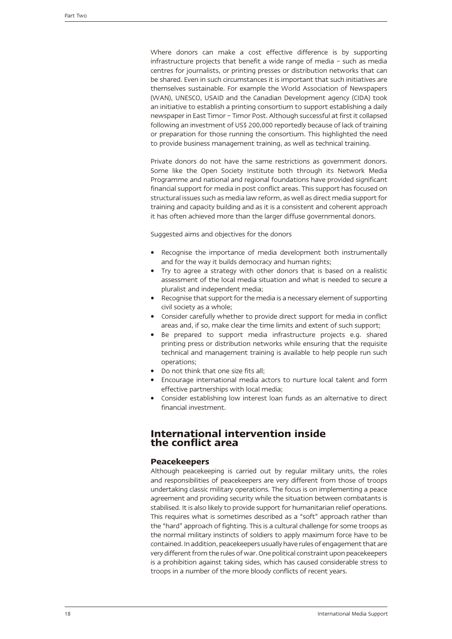Where donors can make a cost effective difference is by supporting infrastructure projects that benefit a wide range of media – such as media centres for journalists, or printing presses or distribution networks that can be shared. Even in such circumstances it is important that such initiatives are themselves sustainable. For example the World Association of Newspapers (WAN), UNESCO, USAID and the Canadian Development agency (CIDA) took an initiative to establish a printing consortium to support establishing a daily newspaper in East Timor – Timor Post. Although successful at first it collapsed following an investment of US\$ 200,000 reportedly because of lack of training or preparation for those running the consortium. This highlighted the need to provide business management training, as well as technical training.

Private donors do not have the same restrictions as government donors. Some like the Open Society Institute both through its Network Media Programme and national and regional foundations have provided significant financial support for media in post conflict areas. This support has focused on structural issues such as media law reform, as well as direct media support for training and capacity building and as it is a consistent and coherent approach it has often achieved more than the larger diffuse governmental donors.

Suggested aims and objectives for the donors

- Recognise the importance of media development both instrumentally and for the way it builds democracy and human rights;
- Try to agree a strategy with other donors that is based on a realistic assessment of the local media situation and what is needed to secure a pluralist and independent media;
- Recognise that support for the media is a necessary element of supporting civil society as a whole;
- Consider carefully whether to provide direct support for media in conflict areas and, if so, make clear the time limits and extent of such support;
- Be prepared to support media infrastructure projects e.g. shared printing press or distribution networks while ensuring that the requisite technical and management training is available to help people run such operations;
- Do not think that one size fits all:
- Encourage international media actors to nurture local talent and form effective partnerships with local media;
- Consider establishing low interest loan funds as an alternative to direct financial investment.

### **International intervention inside the conflict area**

### **Peacekeepers**

Although peacekeeping is carried out by regular military units, the roles and responsibilities of peacekeepers are very different from those of troops undertaking classic military operations. The focus is on implementing a peace agreement and providing security while the situation between combatants is stabilised. It is also likely to provide support for humanitarian relief operations. This requires what is sometimes described as a "soft" approach rather than the "hard" approach of fighting. This is a cultural challenge for some troops as the normal military instincts of soldiers to apply maximum force have to be contained. In addition, peacekeepers usually have rules of engagement that are very different from the rules of war. One political constraint upon peacekeepers is a prohibition against taking sides, which has caused considerable stress to troops in a number of the more bloody conflicts of recent years.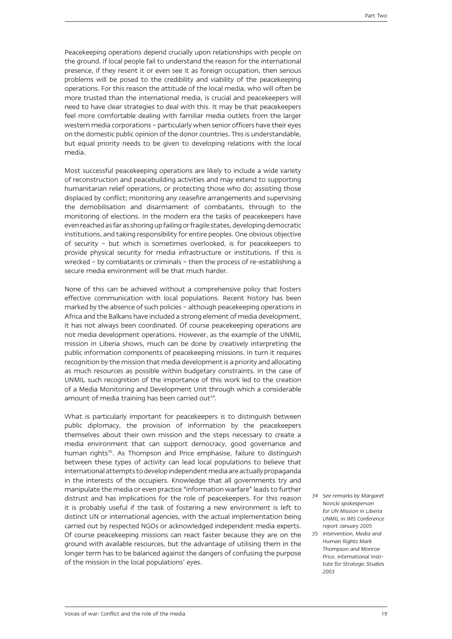Peacekeeping operations depend crucially upon relationships with people on the ground. If local people fail to understand the reason for the international presence, if they resent it or even see it as foreign occupation, then serious problems will be posed to the credibility and viability of the peacekeeping operations. For this reason the attitude of the local media, who will often be more trusted than the international media, is crucial and peacekeepers will need to have clear strategies to deal with this. It may be that peacekeepers feel more comfortable dealing with familiar media outlets from the larger western media corporations – particularly when senior officers have their eyes on the domestic public opinion of the donor countries. This is understandable, but equal priority needs to be given to developing relations with the local media.

Most successful peacekeeping operations are likely to include a wide variety of reconstruction and peacebuilding activities and may extend to supporting humanitarian relief operations, or protecting those who do; assisting those displaced by conflict; monitoring any ceasefire arrangements and supervising the demobilisation and disarmament of combatants, through to the monitoring of elections. In the modern era the tasks of peacekeepers have even reached as far as shoring up failing or fragile states, developing democratic institutions, and taking responsibility for entire peoples. One obvious objective of security – but which is sometimes overlooked, is for peacekeepers to provide physical security for media infrastructure or institutions. If this is wrecked – by combatants or criminals – then the process of re-establishing a secure media environment will be that much harder.

None of this can be achieved without a comprehensive policy that fosters effective communication with local populations. Recent history has been marked by the absence of such policies – although peacekeeping operations in Africa and the Balkans have included a strong element of media development, it has not always been coordinated. Of course peacekeeping operations are not media development operations. However, as the example of the UNMIL mission in Liberia shows, much can be done by creatively interpreting the public information components of peacekeeping missions. In turn it requires recognition by the mission that media development is a priority and allocating as much resources as possible within budgetary constraints. In the case of UNMIL such recognition of the importance of this work led to the creation of a Media Monitoring and Development Unit through which a considerable amount of media training has been carried out $34$ .

What is particularly important for peacekeepers is to distinguish between public diplomacy, the provision of information by the peacekeepers themselves about their own mission and the steps necessary to create a media environment that can support democracy, good governance and human rights<sup>35</sup>. As Thompson and Price emphasise, failure to distinguish between these types of activity can lead local populations to believe that international attempts to develop independent media are actually propaganda in the interests of the occupiers. Knowledge that all governments try and manipulate the media or even practice "information warfare" leads to further distrust and has implications for the role of peacekeepers. For this reason it is probably useful if the task of fostering a new environment is left to distinct UN or international agencies, with the actual implementation being carried out by respected NGOs or acknowledged independent media experts. Of course peacekeeping missions can react faster because they are on the ground with available resources, but the advantage of utilising them in the longer term has to be balanced against the dangers of confusing the purpose of the mission in the local populations' eyes.

*34 See remarks by Margaret Novicki spokesperson for UN Mission in Liberia UNMIL in IMS Conference report January 2005*

*35 Intervention, Media and Human Rights Mark Thompson and Monroe Price, International Institute for Strategic Studies 2003*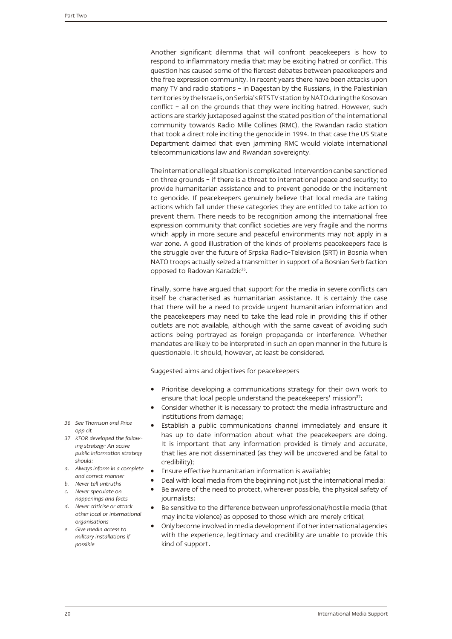Another significant dilemma that will confront peacekeepers is how to respond to inflammatory media that may be exciting hatred or conflict. This question has caused some of the fiercest debates between peacekeepers and the free expression community. In recent years there have been attacks upon many TV and radio stations – in Dagestan by the Russians, in the Palestinian territories by the Israelis, on Serbia's RTS TV station by NATO during the Kosovan conflict – all on the grounds that they were inciting hatred. However, such actions are starkly juxtaposed against the stated position of the international community towards Radio Mille Collines (RMC), the Rwandan radio station that took a direct role inciting the genocide in 1994. In that case the US State Department claimed that even jamming RMC would violate international telecommunications law and Rwandan sovereignty.

The international legal situation is complicated. Intervention can be sanctioned on three grounds – if there is a threat to international peace and security; to provide humanitarian assistance and to prevent genocide or the incitement to genocide. If peacekeepers genuinely believe that local media are taking actions which fall under these categories they are entitled to take action to prevent them. There needs to be recognition among the international free expression community that conflict societies are very fragile and the norms which apply in more secure and peaceful environments may not apply in a war zone. A good illustration of the kinds of problems peacekeepers face is the struggle over the future of Srpska Radio-Television (SRT) in Bosnia when NATO troops actually seized a transmitter in support of a Bosnian Serb faction opposed to Radovan Karadzic<sup>36</sup>.

Finally, some have argued that support for the media in severe conflicts can itself be characterised as humanitarian assistance. It is certainly the case that there will be a need to provide urgent humanitarian information and the peacekeepers may need to take the lead role in providing this if other outlets are not available, although with the same caveat of avoiding such actions being portrayed as foreign propaganda or interference. Whether mandates are likely to be interpreted in such an open manner in the future is questionable. It should, however, at least be considered.

Suggested aims and objectives for peacekeepers

- Prioritise developing a communications strategy for their own work to ensure that local people understand the peacekeepers' mission $37$ ;
- Consider whether it is necessary to protect the media infrastructure and institutions from damage;
- Establish a public communications channel immediately and ensure it has up to date information about what the peacekeepers are doing. It is important that any information provided is timely and accurate, that lies are not disseminated (as they will be uncovered and be fatal to credibility);
- Finsure effective humanitarian information is available;
- Deal with local media from the beginning not just the international media;
- Be aware of the need to protect, wherever possible, the physical safety of journalists;
- Be sensitive to the difference between unprofessional/hostile media (that may incite violence) as opposed to those which are merely critical;
- • Only become involved in media development if other international agencies with the experience, legitimacy and credibility are unable to provide this kind of support.
- *36 See Thomson and Price opp cit*
- *37 KFOR developed the following strategy: An active public information strategy should:*
- *a. Always inform in a complete and correct manner*
- *b. Never tell untruths*
- *c. Never speculate on happenings and facts*
- *d. Never criticise or attack other local or international organisations*
- *e. Give media access to military installations if possible*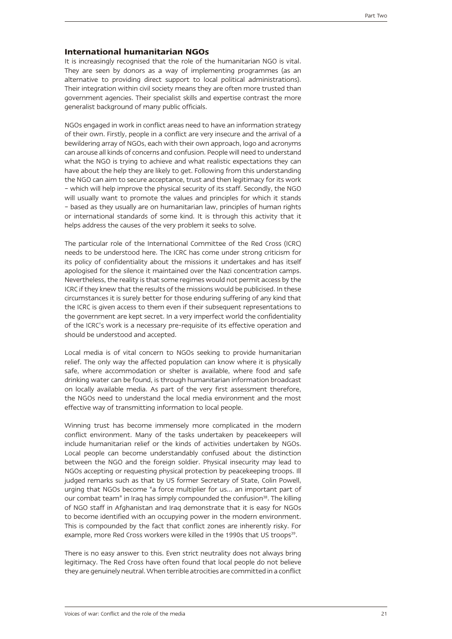### **International humanitarian NGOs**

It is increasingly recognised that the role of the humanitarian NGO is vital. They are seen by donors as a way of implementing programmes (as an alternative to providing direct support to local political administrations). Their integration within civil society means they are often more trusted than government agencies. Their specialist skills and expertise contrast the more generalist background of many public officials.

NGOs engaged in work in conflict areas need to have an information strategy of their own. Firstly, people in a conflict are very insecure and the arrival of a bewildering array of NGOs, each with their own approach, logo and acronyms can arouse all kinds of concerns and confusion. People will need to understand what the NGO is trying to achieve and what realistic expectations they can have about the help they are likely to get. Following from this understanding the NGO can aim to secure acceptance, trust and then legitimacy for its work – which will help improve the physical security of its staff. Secondly, the NGO will usually want to promote the values and principles for which it stands – based as they usually are on humanitarian law, principles of human rights or international standards of some kind. It is through this activity that it helps address the causes of the very problem it seeks to solve.

The particular role of the International Committee of the Red Cross (ICRC) needs to be understood here. The ICRC has come under strong criticism for its policy of confidentiality about the missions it undertakes and has itself apologised for the silence it maintained over the Nazi concentration camps. Nevertheless, the reality is that some regimes would not permit access by the ICRC if they knew that the results of the missions would be publicised. In these circumstances it is surely better for those enduring suffering of any kind that the ICRC is given access to them even if their subsequent representations to the government are kept secret. In a very imperfect world the confidentiality of the ICRC's work is a necessary pre-requisite of its effective operation and should be understood and accepted.

Local media is of vital concern to NGOs seeking to provide humanitarian relief. The only way the affected population can know where it is physically safe, where accommodation or shelter is available, where food and safe drinking water can be found, is through humanitarian information broadcast on locally available media. As part of the very first assessment therefore, the NGOs need to understand the local media environment and the most effective way of transmitting information to local people.

Winning trust has become immensely more complicated in the modern conflict environment. Many of the tasks undertaken by peacekeepers will include humanitarian relief or the kinds of activities undertaken by NGOs. Local people can become understandably confused about the distinction between the NGO and the foreign soldier. Physical insecurity may lead to NGOs accepting or requesting physical protection by peacekeeping troops. Ill judged remarks such as that by US former Secretary of State, Colin Powell, urging that NGOs become "a force multiplier for us... an important part of our combat team" in Iraq has simply compounded the confusion<sup>38</sup>. The killing of NGO staff in Afghanistan and Iraq demonstrate that it is easy for NGOs to become identified with an occupying power in the modern environment. This is compounded by the fact that conflict zones are inherently risky. For example, more Red Cross workers were killed in the 1990s that US troops<sup>39</sup>.

There is no easy answer to this. Even strict neutrality does not always bring legitimacy. The Red Cross have often found that local people do not believe they are genuinely neutral. When terrible atrocities are committed in a conflict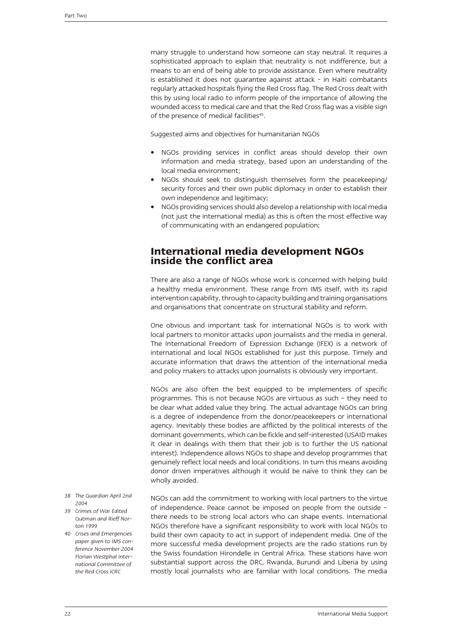many struggle to understand how someone can stay neutral. It requires a sophisticated approach to explain that neutrality is not indifference, but a means to an end of being able to provide assistance. Even where neutrality is established it does not guarantee against attack - in Haiti combatants regularly attacked hospitals flying the Red Cross flag. The Red Cross dealt with this by using local radio to inform people of the importance of allowing the wounded access to medical care and that the Red Cross flag was a visible sign of the presence of medical facilities<sup>40</sup>.

Suggested aims and objectives for humanitarian NGOs

- NGOs providing services in conflict areas should develop their own information and media strategy, based upon an understanding of the local media environment;
- NGOs should seek to distinguish themselves form the peacekeeping/ security forces and their own public diplomacy in order to establish their own independence and legitimacy;
- NGOs providing services should also develop a relationship with local media (not just the international media) as this is often the most effective way of communicating with an endangered population;

### **International media development NGOs inside the conflict area**

There are also a range of NGOs whose work is concerned with helping build a healthy media environment. These range from IMS itself, with its rapid intervention capability, through to capacity building and training organisations and organisations that concentrate on structural stability and reform.

One obvious and important task for international NGOs is to work with local partners to monitor attacks upon journalists and the media in general. The International Freedom of Expression Exchange (IFEX) is a network of international and local NGOs established for just this purpose. Timely and accurate information that draws the attention of the international media and policy makers to attacks upon journalists is obviously very important.

NGOs are also often the best equipped to be implementers of specific programmes. This is not because NGOs are virtuous as such – they need to be clear what added value they bring. The actual advantage NGOs can bring is a degree of independence from the donor/peacekeepers or international agency. Inevitably these bodies are afflicted by the political interests of the dominant governments, which can be fickle and self-interested (USAID makes it clear in dealings with them that their job is to further the US national interest). Independence allows NGOs to shape and develop programmes that genuinely reflect local needs and local conditions. In turn this means avoiding donor driven imperatives although it would be naïve to think they can be wholly avoided.

- NGOs can add the commitment to working with local partners to the virtue of independence. Peace cannot be imposed on people from the outside – there needs to be strong local actors who can shape events. International NGOs therefore have a significant responsibility to work with local NGOs to build their own capacity to act in support of independent media. One of the more successful media development projects are the radio stations run by the Swiss foundation Hirondelle in Central Africa. These stations have won substantial support across the DRC, Rwanda, Burundi and Liberia by using mostly local journalists who are familiar with local conditions. The media *2004 39 Crimes of War Edited Gutman and Rieff Norton 1999 paper given to IMS conference November 2004 Florian Westphal International Committee of*
- *38 The Guardian April 2nd*
- 
- *40 Crises and Emergencies the Red Cross ICRC*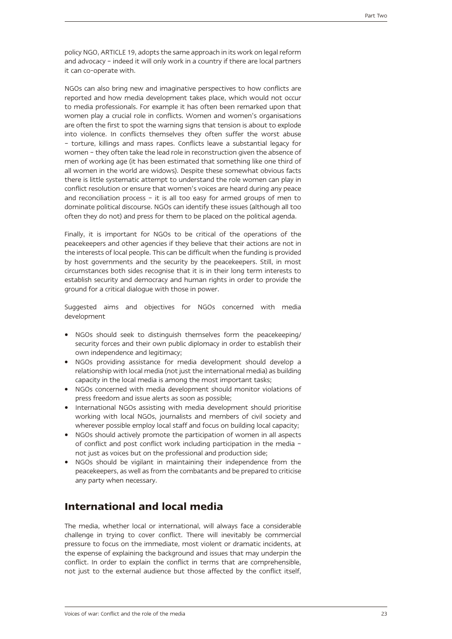policy NGO, ARTICLE 19, adopts the same approach in its work on legal reform and advocacy – indeed it will only work in a country if there are local partners it can co-operate with.

NGOs can also bring new and imaginative perspectives to how conflicts are reported and how media development takes place, which would not occur to media professionals. For example it has often been remarked upon that women play a crucial role in conflicts. Women and women's organisations are often the first to spot the warning signs that tension is about to explode into violence. In conflicts themselves they often suffer the worst abuse – torture, killings and mass rapes. Conflicts leave a substantial legacy for women – they often take the lead role in reconstruction given the absence of men of working age (it has been estimated that something like one third of all women in the world are widows). Despite these somewhat obvious facts there is little systematic attempt to understand the role women can play in conflict resolution or ensure that women's voices are heard during any peace and reconciliation process – it is all too easy for armed groups of men to dominate political discourse. NGOs can identify these issues (although all too often they do not) and press for them to be placed on the political agenda.

Finally, it is important for NGOs to be critical of the operations of the peacekeepers and other agencies if they believe that their actions are not in the interests of local people. This can be difficult when the funding is provided by host governments and the security by the peacekeepers. Still, in most circumstances both sides recognise that it is in their long term interests to establish security and democracy and human rights in order to provide the ground for a critical dialogue with those in power.

Suggested aims and objectives for NGOs concerned with media development

- NGOs should seek to distinguish themselves form the peacekeeping/ security forces and their own public diplomacy in order to establish their own independence and legitimacy;
- NGOs providing assistance for media development should develop a relationship with local media (not just the international media) as building capacity in the local media is among the most important tasks;
- NGOs concerned with media development should monitor violations of press freedom and issue alerts as soon as possible;
- International NGOs assisting with media development should prioritise working with local NGOs, journalists and members of civil society and wherever possible employ local staff and focus on building local capacity;
- NGOs should actively promote the participation of women in all aspects of conflict and post conflict work including participation in the media – not just as voices but on the professional and production side;
- • NGOs should be vigilant in maintaining their independence from the peacekeepers, as well as from the combatants and be prepared to criticise any party when necessary.

# **International and local media**

The media, whether local or international, will always face a considerable challenge in trying to cover conflict. There will inevitably be commercial pressure to focus on the immediate, most violent or dramatic incidents, at the expense of explaining the background and issues that may underpin the conflict. In order to explain the conflict in terms that are comprehensible, not just to the external audience but those affected by the conflict itself,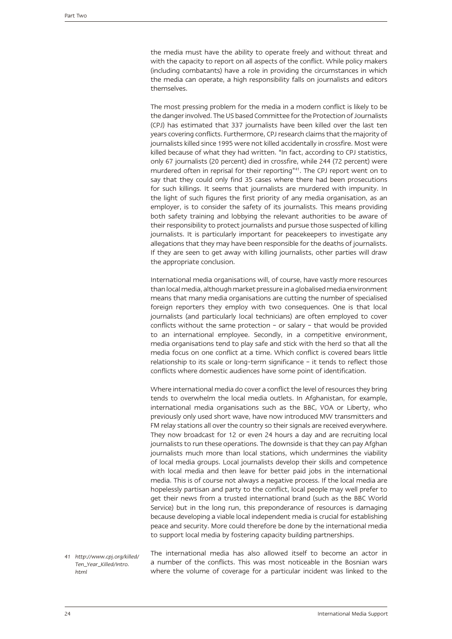the media must have the ability to operate freely and without threat and with the capacity to report on all aspects of the conflict. While policy makers (including combatants) have a role in providing the circumstances in which the media can operate, a high responsibility falls on journalists and editors themselves.

The most pressing problem for the media in a modern conflict is likely to be the danger involved. The US based Committee for the Protection of Journalists (CPJ) has estimated that 337 journalists have been killed over the last ten years covering conflicts. Furthermore, CPJ research claims that the majority of journalists killed since 1995 were not killed accidentally in crossfire. Most were killed because of what they had written. "In fact, according to CPJ statistics, only 67 journalists (20 percent) died in crossfire, while 244 (72 percent) were murdered often in reprisal for their reporting"<sup>41</sup>. The CPJ report went on to say that they could only find 35 cases where there had been prosecutions for such killings. It seems that journalists are murdered with impunity. In the light of such figures the first priority of any media organisation, as an employer, is to consider the safety of its journalists. This means providing both safety training and lobbying the relevant authorities to be aware of their responsibility to protect journalists and pursue those suspected of killing journalists. It is particularly important for peacekeepers to investigate any allegations that they may have been responsible for the deaths of journalists. If they are seen to get away with killing journalists, other parties will draw the appropriate conclusion.

International media organisations will, of course, have vastly more resources than local media, although market pressure in a globalised media environment means that many media organisations are cutting the number of specialised foreign reporters they employ with two consequences. One is that local journalists (and particularly local technicians) are often employed to cover conflicts without the same protection – or salary – that would be provided to an international employee. Secondly, in a competitive environment, media organisations tend to play safe and stick with the herd so that all the media focus on one conflict at a time. Which conflict is covered bears little relationship to its scale or long-term significance – it tends to reflect those conflicts where domestic audiences have some point of identification.

Where international media do cover a conflict the level of resources they bring tends to overwhelm the local media outlets. In Afghanistan, for example, international media organisations such as the BBC, VOA or Liberty, who previously only used short wave, have now introduced MW transmitters and FM relay stations all over the country so their signals are received everywhere. They now broadcast for 12 or even 24 hours a day and are recruiting local journalists to run these operations. The downside is that they can pay Afghan journalists much more than local stations, which undermines the viability of local media groups. Local journalists develop their skills and competence with local media and then leave for better paid jobs in the international media. This is of course not always a negative process. If the local media are hopelessly partisan and party to the conflict, local people may well prefer to get their news from a trusted international brand (such as the BBC World Service) but in the long run, this preponderance of resources is damaging because developing a viable local independent media is crucial for establishing peace and security. More could therefore be done by the international media to support local media by fostering capacity building partnerships.

The international media has also allowed itself to become an actor in a number of the conflicts. This was most noticeable in the Bosnian wars where the volume of coverage for a particular incident was linked to the *41 http://www.cpj.org/killed/ Ten\_Year\_Killed/Intro. html*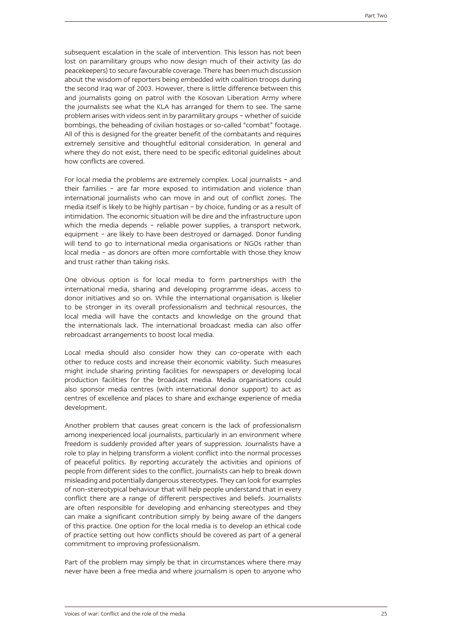subsequent escalation in the scale of intervention. This lesson has not been lost on paramilitary groups who now design much of their activity (as do peacekeepers) to secure favourable coverage. There has been much discussion about the wisdom of reporters being embedded with coalition troops during the second Iraq war of 2003. However, there is little difference between this and journalists going on patrol with the Kosovan Liberation Army where the journalists see what the KLA has arranged for them to see. The same problem arises with videos sent in by paramilitary groups – whether of suicide bombings, the beheading of civilian hostages or so-called "combat" footage. All of this is designed for the greater benefit of the combatants and requires extremely sensitive and thoughtful editorial consideration. In general and where they do not exist, there need to be specific editorial guidelines about how conflicts are covered.

For local media the problems are extremely complex. Local journalists – and their families – are far more exposed to intimidation and violence than international journalists who can move in and out of conflict zones. The media itself is likely to be highly partisan – by choice, funding or as a result of intimidation. The economic situation will be dire and the infrastructure upon which the media depends – reliable power supplies, a transport network, equipment – are likely to have been destroyed or damaged. Donor funding will tend to go to international media organisations or NGOs rather than local media – as donors are often more comfortable with those they know and trust rather than taking risks.

One obvious option is for local media to form partnerships with the international media, sharing and developing programme ideas, access to donor initiatives and so on. While the international organisation is likelier to be stronger in its overall professionalism and technical resources, the local media will have the contacts and knowledge on the ground that the internationals lack. The international broadcast media can also offer rebroadcast arrangements to boost local media.

Local media should also consider how they can co-operate with each other to reduce costs and increase their economic viability. Such measures might include sharing printing facilities for newspapers or developing local production facilities for the broadcast media. Media organisations could also sponsor media centres (with international donor support) to act as centres of excellence and places to share and exchange experience of media development.

Another problem that causes great concern is the lack of professionalism among inexperienced local journalists, particularly in an environment where freedom is suddenly provided after years of suppression. Journalists have a role to play in helping transform a violent conflict into the normal processes of peaceful politics. By reporting accurately the activities and opinions of people from different sides to the conflict, journalists can help to break down misleading and potentially dangerous stereotypes. They can look for examples of non-stereotypical behaviour that will help people understand that in every conflict there are a range of different perspectives and beliefs. Journalists are often responsible for developing and enhancing stereotypes and they can make a significant contribution simply by being aware of the dangers of this practice. One option for the local media is to develop an ethical code of practice setting out how conflicts should be covered as part of a general commitment to improving professionalism.

Part of the problem may simply be that in circumstances where there may never have been a free media and where journalism is open to anyone who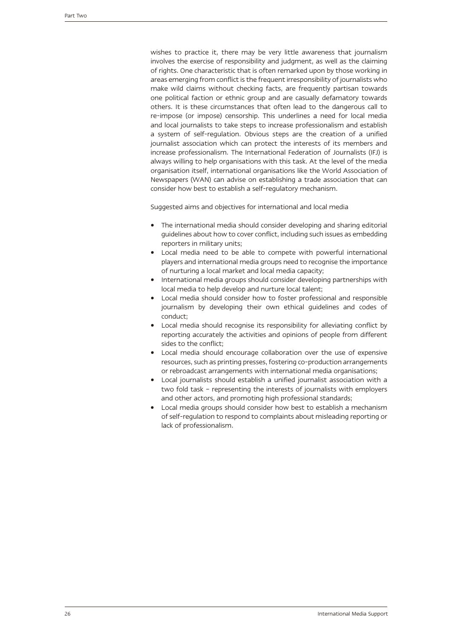wishes to practice it, there may be very little awareness that journalism involves the exercise of responsibility and judgment, as well as the claiming of rights. One characteristic that is often remarked upon by those working in areas emerging from conflict is the frequent irresponsibility of journalists who make wild claims without checking facts, are frequently partisan towards one political faction or ethnic group and are casually defamatory towards others. It is these circumstances that often lead to the dangerous call to re-impose (or impose) censorship. This underlines a need for local media and local journalists to take steps to increase professionalism and establish a system of self-regulation. Obvious steps are the creation of a unified journalist association which can protect the interests of its members and increase professionalism. The International Federation of Journalists (IFJ) is always willing to help organisations with this task. At the level of the media organisation itself, international organisations like the World Association of Newspapers (WAN) can advise on establishing a trade association that can consider how best to establish a self-regulatory mechanism.

Suggested aims and objectives for international and local media

- The international media should consider developing and sharing editorial guidelines about how to cover conflict, including such issues as embedding reporters in military units;
- Local media need to be able to compete with powerful international players and international media groups need to recognise the importance of nurturing a local market and local media capacity;
- International media groups should consider developing partnerships with local media to help develop and nurture local talent;
- Local media should consider how to foster professional and responsible journalism by developing their own ethical guidelines and codes of conduct;
- Local media should recognise its responsibility for alleviating conflict by reporting accurately the activities and opinions of people from different sides to the conflict;
- Local media should encourage collaboration over the use of expensive resources, such as printing presses, fostering co-production arrangements or rebroadcast arrangements with international media organisations;
- Local journalists should establish a unified journalist association with a two fold task – representing the interests of journalists with employers and other actors, and promoting high professional standards;
- Local media groups should consider how best to establish a mechanism of self-regulation to respond to complaints about misleading reporting or lack of professionalism.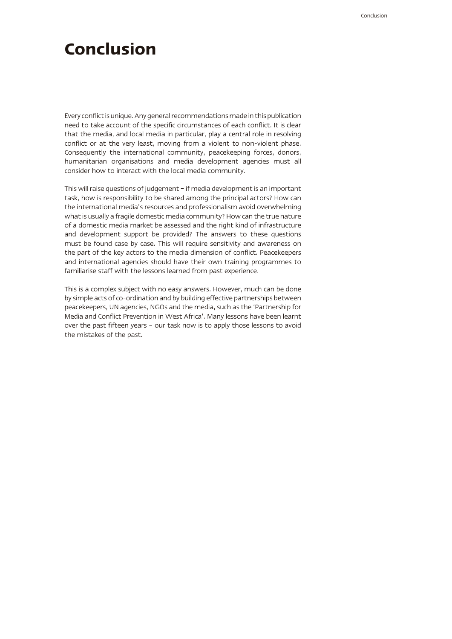# **Conclusion**

Every conflict is unique. Any general recommendations made in this publication need to take account of the specific circumstances of each conflict. It is clear that the media, and local media in particular, play a central role in resolving conflict or at the very least, moving from a violent to non-violent phase. Consequently the international community, peacekeeping forces, donors, humanitarian organisations and media development agencies must all consider how to interact with the local media community.

This will raise questions of judgement – if media development is an important task, how is responsibility to be shared among the principal actors? How can the international media's resources and professionalism avoid overwhelming what is usually a fragile domestic media community? How can the true nature of a domestic media market be assessed and the right kind of infrastructure and development support be provided? The answers to these questions must be found case by case. This will require sensitivity and awareness on the part of the key actors to the media dimension of conflict. Peacekeepers and international agencies should have their own training programmes to familiarise staff with the lessons learned from past experience.

This is a complex subject with no easy answers. However, much can be done by simple acts of co-ordination and by building effective partnerships between peacekeepers, UN agencies, NGOs and the media, such as the 'Partnership for Media and Conflict Prevention in West Africa'. Many lessons have been learnt over the past fifteen years – our task now is to apply those lessons to avoid the mistakes of the past.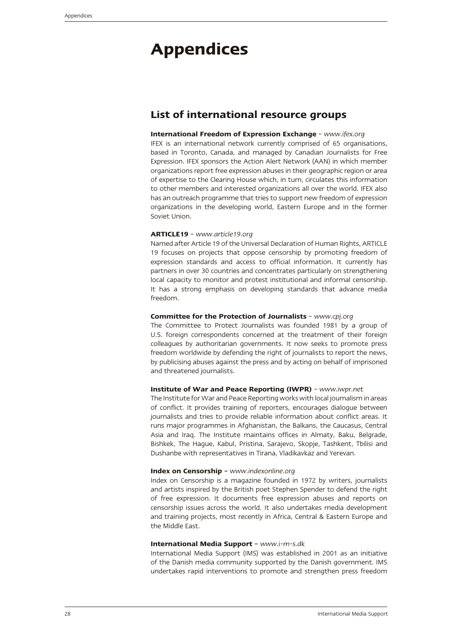# **Appendices**

## **List of international resource groups**

### **International Freedom of Expression Exchange** – *www.ifex.org*

IFEX is an international network currently comprised of 65 organisations, based in Toronto, Canada, and managed by Canadian Journalists for Free Expression. IFEX sponsors the Action Alert Network (AAN) in which member organizations report free expression abuses in their geographic region or area of expertise to the Clearing House which, in turn, circulates this information to other members and interested organizations all over the world. IFEX also has an outreach programme that tries to support new freedom of expression organizations in the developing world, Eastern Europe and in the former Soviet Union.

### **ARTICLE19** – *www.article19.org*

Named after Article 19 of the Universal Declaration of Human Rights, ARTICLE 19 focuses on projects that oppose censorship by promoting freedom of expression standards and access to official information. It currently has partners in over 30 countries and concentrates particularly on strengthening local capacity to monitor and protest institutional and informal censorship. It has a strong emphasis on developing standards that advance media freedom.

### **Committee for the Protection of Journalists** – *www.cpj.org*

The Committee to Protect Journalists was founded 1981 by a group of U.S. foreign correspondents concerned at the treatment of their foreign colleagues by authoritarian governments. It now seeks to promote press freedom worldwide by defending the right of journalists to report the news, by publicising abuses against the press and by acting on behalf of imprisoned and threatened journalists.

### **Institute of War and Peace Reporting (IWPR)** – *www.iwpr.net*

The Institute for War and Peace Reporting works with local journalism in areas of conflict. It provides training of reporters, encourages dialogue between journalists and tries to provide reliable information about conflict areas. It runs major programmes in Afghanistan, the Balkans, the Caucasus, Central Asia and Iraq. The Institute maintains offices in Almaty, Baku, Belgrade, Bishkek, The Hague, Kabul, Pristina, Sarajevo, Skopje, Tashkent, Tbilisi and Dushanbe with representatives in Tirana, Vladikavkaz and Yerevan.

#### **Index on Censorship –** *www.indexonline.org*

Index on Censorship is a magazine founded in 1972 by writers, journalists and artists inspired by the British poet Stephen Spender to defend the right of free expression. It documents free expression abuses and reports on censorship issues across the world. It also undertakes media development and training projects, most recently in Africa, Central & Eastern Europe and the Middle East.

### **International Media Support –** *www.i-m-s.dk*

International Media Support (IMS) was established in 2001 as an initiative of the Danish media community supported by the Danish government. IMS undertakes rapid interventions to promote and strengthen press freedom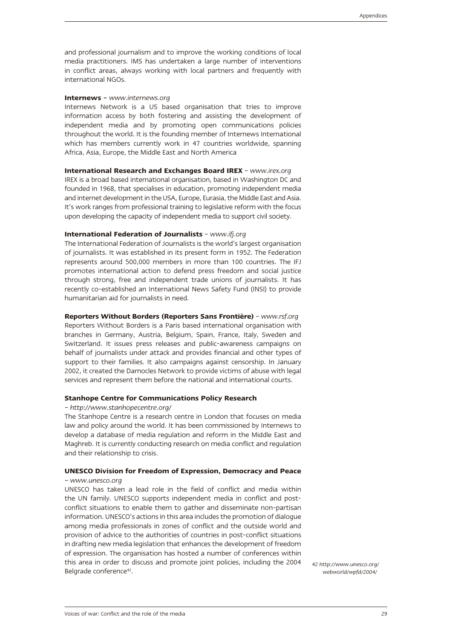and professional journalism and to improve the working conditions of local media practitioners. IMS has undertaken a large number of interventions in conflict areas, always working with local partners and frequently with international NGOs.

#### **Internews –** *www.internews.org*

Internews Network is a US based organisation that tries to improve information access by both fostering and assisting the development of independent media and by promoting open communications policies throughout the world. It is the founding member of Internews International which has members currently work in 47 countries worldwide, spanning Africa, Asia, Europe, the Middle East and North America

### **International Research and Exchanges Board IREX** – *www.irex.org*

IREX is a broad based international organisation, based in Washington DC and founded in 1968, that specialises in education, promoting independent media and internet development in the USA, Europe, Eurasia, the Middle East and Asia. It's work ranges from professional training to legislative reform with the focus upon developing the capacity of independent media to support civil society.

### **International Federation of Journalists** – *www.ifj.org*

The International Federation of Journalists is the world's largest organisation of journalists. It was established in its present form in 1952. The Federation represents around 500,000 members in more than 100 countries. The IFJ promotes international action to defend press freedom and social justice through strong, free and independent trade unions of journalists. It has recently co-established an International News Safety Fund (INSI) to provide humanitarian aid for journalists in need.

#### **Reporters Without Borders (Reporters Sans Frontière)** – *www.rsf.org*

Reporters Without Borders is a Paris based international organisation with branches in Germany, Austria, Belgium, Spain, France, Italy, Sweden and Switzerland. It issues press releases and public-awareness campaigns on behalf of journalists under attack and provides financial and other types of support to their families. It also campaigns against censorship. In January 2002, it created the Damocles Network to provide victims of abuse with legal services and represent them before the national and international courts.

#### **Stanhope Centre for Communications Policy Research**

#### – *http://www.stanhopecentre.org/*

The Stanhope Centre is a research centre in London that focuses on media law and policy around the world. It has been commissioned by Internews to develop a database of media regulation and reform in the Middle East and Maghreb. It is currently conducting research on media conflict and regulation and their relationship to crisis.

### **UNESCO Division for Freedom of Expression, Democracy and Peace**  *– www.unesco.org*

UNESCO has taken a lead role in the field of conflict and media within the UN family. UNESCO supports independent media in conflict and postconflict situations to enable them to gather and disseminate non-partisan information. UNESCO's actions in this area includes the promotion of dialogue among media professionals in zones of conflict and the outside world and provision of advice to the authorities of countries in post-conflict situations in drafting new media legislation that enhances the development of freedom of expression. The organisation has hosted a number of conferences within this area in order to discuss and promote joint policies, including the 2004 *42 http://www.unesco.org/*<br>/webworld/wpfd/2004/

*webworld/wpfd/2004/*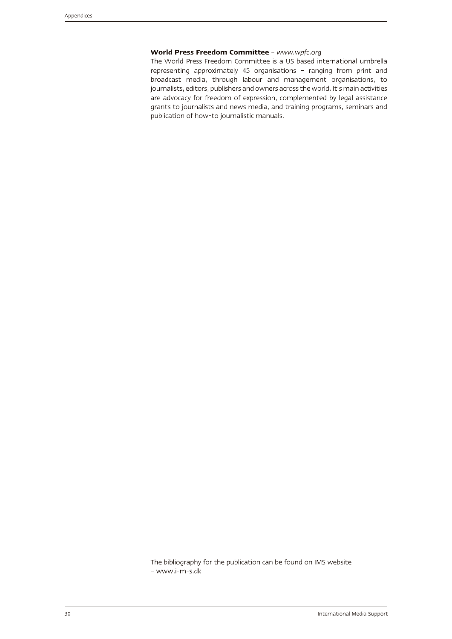### **World Press Freedom Committee** – *www.wpfc.org*

The World Press Freedom Committee is a US based international umbrella representing approximately 45 organisations – ranging from print and broadcast media, through labour and management organisations, to journalists, editors, publishers and owners across the world. It's main activities are advocacy for freedom of expression, complemented by legal assistance grants to journalists and news media, and training programs, seminars and publication of how-to journalistic manuals.

The bibliography for the publication can be found on IMS website – www.i-m-s.dk